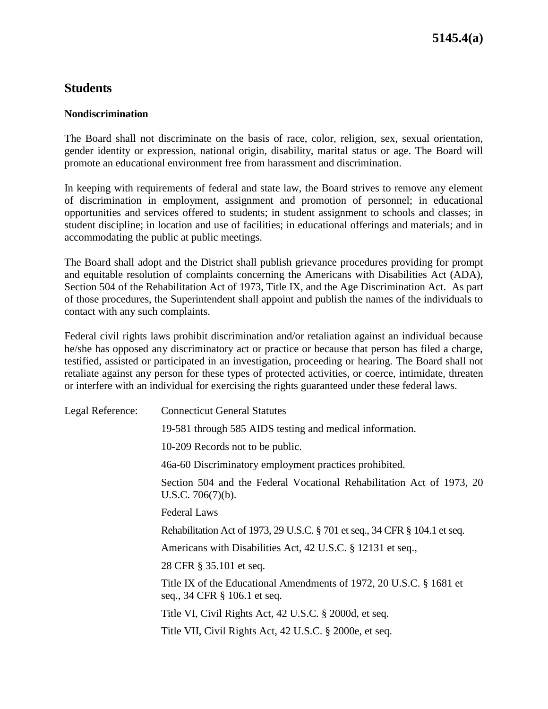## **Students**

#### **Nondiscrimination**

The Board shall not discriminate on the basis of race, color, religion, sex, sexual orientation, gender identity or expression, national origin, disability, marital status or age. The Board will promote an educational environment free from harassment and discrimination.

In keeping with requirements of federal and state law, the Board strives to remove any element of discrimination in employment, assignment and promotion of personnel; in educational opportunities and services offered to students; in student assignment to schools and classes; in student discipline; in location and use of facilities; in educational offerings and materials; and in accommodating the public at public meetings.

The Board shall adopt and the District shall publish grievance procedures providing for prompt and equitable resolution of complaints concerning the Americans with Disabilities Act (ADA), Section 504 of the Rehabilitation Act of 1973, Title IX, and the Age Discrimination Act. As part of those procedures, the Superintendent shall appoint and publish the names of the individuals to contact with any such complaints.

Federal civil rights laws prohibit discrimination and/or retaliation against an individual because he/she has opposed any discriminatory act or practice or because that person has filed a charge, testified, assisted or participated in an investigation, proceeding or hearing. The Board shall not retaliate against any person for these types of protected activities, or coerce, intimidate, threaten or interfere with an individual for exercising the rights guaranteed under these federal laws.

| Legal Reference: | <b>Connecticut General Statutes</b>                                                                 |
|------------------|-----------------------------------------------------------------------------------------------------|
|                  | 19-581 through 585 AIDS testing and medical information.                                            |
|                  | 10-209 Records not to be public.                                                                    |
|                  | 46a-60 Discriminatory employment practices prohibited.                                              |
|                  | Section 504 and the Federal Vocational Rehabilitation Act of 1973, 20<br>U.S.C. $706(7)(b)$ .       |
|                  | <b>Federal Laws</b>                                                                                 |
|                  | Rehabilitation Act of 1973, 29 U.S.C. § 701 et seq., 34 CFR § 104.1 et seq.                         |
|                  | Americans with Disabilities Act, 42 U.S.C. § 12131 et seq.,                                         |
|                  | 28 CFR § 35.101 et seq.                                                                             |
|                  | Title IX of the Educational Amendments of 1972, 20 U.S.C. § 1681 et<br>seq., 34 CFR § 106.1 et seq. |
|                  | Title VI, Civil Rights Act, 42 U.S.C. § 2000d, et seq.                                              |
|                  | Title VII, Civil Rights Act, 42 U.S.C. § 2000e, et seq.                                             |
|                  |                                                                                                     |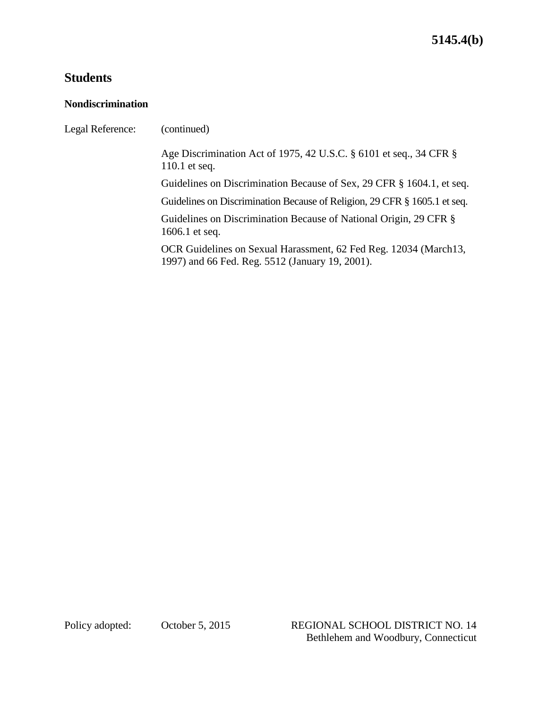# **Students**

### **Nondiscrimination**

| (continued)                                                                                                         |
|---------------------------------------------------------------------------------------------------------------------|
| Age Discrimination Act of 1975, 42 U.S.C. § 6101 et seq., 34 CFR §<br>$110.1$ et seq.                               |
| Guidelines on Discrimination Because of Sex, 29 CFR § 1604.1, et seq.                                               |
| Guidelines on Discrimination Because of Religion, 29 CFR § 1605.1 et seq.                                           |
| Guidelines on Discrimination Because of National Origin, 29 CFR §<br>1606.1 et seq.                                 |
| OCR Guidelines on Sexual Harassment, 62 Fed Reg. 12034 (March13,<br>1997) and 66 Fed. Reg. 5512 (January 19, 2001). |
|                                                                                                                     |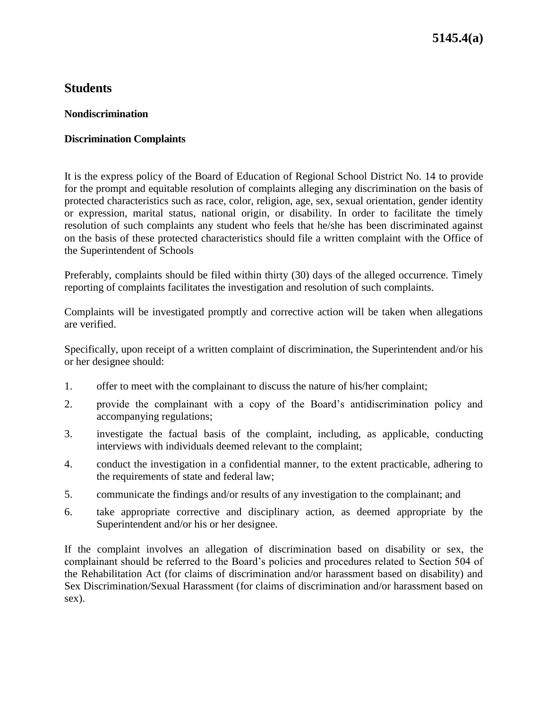## **5145.4(a)**

### **Students**

#### **Nondiscrimination**

#### **Discrimination Complaints**

It is the express policy of the Board of Education of Regional School District No. 14 to provide for the prompt and equitable resolution of complaints alleging any discrimination on the basis of protected characteristics such as race, color, religion, age, sex, sexual orientation, gender identity or expression, marital status, national origin, or disability. In order to facilitate the timely resolution of such complaints any student who feels that he/she has been discriminated against on the basis of these protected characteristics should file a written complaint with the Office of the Superintendent of Schools

Preferably, complaints should be filed within thirty (30) days of the alleged occurrence. Timely reporting of complaints facilitates the investigation and resolution of such complaints.

Complaints will be investigated promptly and corrective action will be taken when allegations are verified.

Specifically, upon receipt of a written complaint of discrimination, the Superintendent and/or his or her designee should:

- 1. offer to meet with the complainant to discuss the nature of his/her complaint;
- 2. provide the complainant with a copy of the Board's antidiscrimination policy and accompanying regulations;
- 3. investigate the factual basis of the complaint, including, as applicable, conducting interviews with individuals deemed relevant to the complaint;
- 4. conduct the investigation in a confidential manner, to the extent practicable, adhering to the requirements of state and federal law;
- 5. communicate the findings and/or results of any investigation to the complainant; and
- 6. take appropriate corrective and disciplinary action, as deemed appropriate by the Superintendent and/or his or her designee.

If the complaint involves an allegation of discrimination based on disability or sex, the complainant should be referred to the Board's policies and procedures related to Section 504 of the Rehabilitation Act (for claims of discrimination and/or harassment based on disability) and Sex Discrimination/Sexual Harassment (for claims of discrimination and/or harassment based on sex).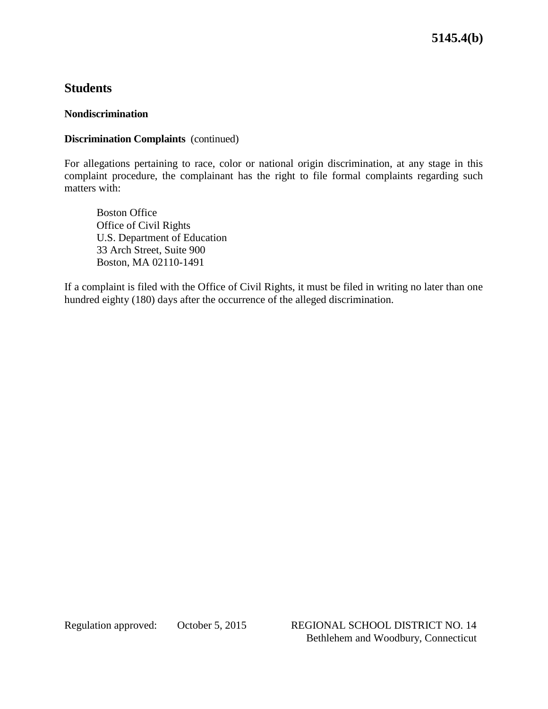**5145.4(b)**

## **Students**

#### **Nondiscrimination**

#### **Discrimination Complaints** (continued)

For allegations pertaining to race, color or national origin discrimination, at any stage in this complaint procedure, the complainant has the right to file formal complaints regarding such matters with:

Boston Office Office of Civil Rights U.S. Department of Education 33 Arch Street, Suite 900 Boston, MA 02110-1491

If a complaint is filed with the Office of Civil Rights, it must be filed in writing no later than one hundred eighty (180) days after the occurrence of the alleged discrimination.